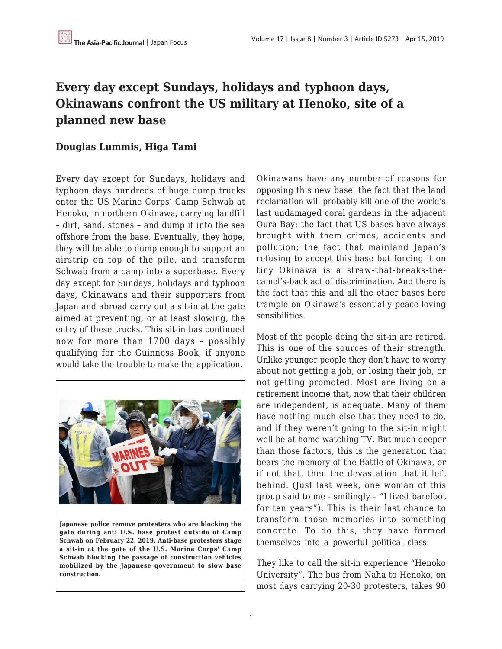## **Every day except Sundays, holidays and typhoon days, Okinawans confront the US military at Henoko, site of a planned new base**

## **Douglas Lummis, Higa Tami**

Every day except for Sundays, holidays and typhoon days hundreds of huge dump trucks enter the US Marine Corps' Camp Schwab at Henoko, in northern Okinawa, carrying landfill – dirt, sand, stones – and dump it into the sea offshore from the base. Eventually, they hope, they will be able to dump enough to support an airstrip on top of the pile, and transform Schwab from a camp into a superbase. Every day except for Sundays, holidays and typhoon days, Okinawans and their supporters from Japan and abroad carry out a sit-in at the gate aimed at preventing, or at least slowing, the entry of these trucks. This sit-in has continued now for more than 1700 days – possibly qualifying for the Guinness Book, if anyone would take the trouble to make the application.



**Japanese police remove protesters who are blocking the gate during anti U.S. base protest outside of Camp Schwab on February 22, 2019. Anti-base protesters stage a sit-in at the gate of the U.S. Marine Corps' Camp Schwab blocking the passage of construction vehicles mobilized by the Japanese government to slow base construction.**

Okinawans have any number of reasons for opposing this new base: the fact that the land reclamation will probably kill one of the world's last undamaged coral gardens in the adjacent Oura Bay; the fact that US bases have always brought with them crimes, accidents and pollution; the fact that mainland Japan's refusing to accept this base but forcing it on tiny Okinawa is a straw-that-breaks-thecamel's-back act of discrimination. And there is the fact that this and all the other bases here trample on Okinawa's essentially peace-loving sensibilities.

Most of the people doing the sit-in are retired. This is one of the sources of their strength. Unlike younger people they don't have to worry about not getting a job, or losing their job, or not getting promoted. Most are living on a retirement income that, now that their children are independent, is adequate. Many of them have nothing much else that they need to do, and if they weren't going to the sit-in might well be at home watching TV. But much deeper than those factors, this is the generation that bears the memory of the Battle of Okinawa, or if not that, then the devastation that it left behind. (Just last week, one woman of this group said to me - smilingly – "I lived barefoot for ten years"). This is their last chance to transform those memories into something concrete. To do this, they have formed themselves into a powerful political class.

They like to call the sit-in experience "Henoko University". The bus from Naha to Henoko, on most days carrying 20-30 protesters, takes 90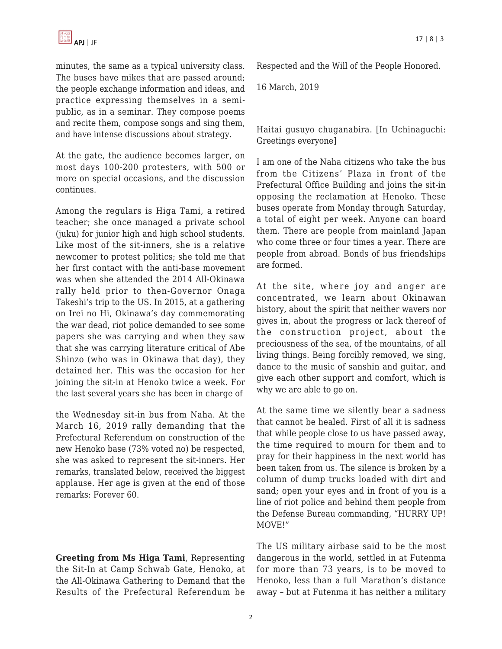minutes, the same as a typical university class. The buses have mikes that are passed around; the people exchange information and ideas, and practice expressing themselves in a semipublic, as in a seminar. They compose poems and recite them, compose songs and sing them, and have intense discussions about strategy.

At the gate, the audience becomes larger, on most days 100-200 protesters, with 500 or more on special occasions, and the discussion continues.

Among the regulars is Higa Tami, a retired teacher; she once managed a private school (juku) for junior high and high school students. Like most of the sit-inners, she is a relative newcomer to protest politics; she told me that her first contact with the anti-base movement was when she attended the 2014 All-Okinawa rally held prior to then-Governor Onaga Takeshi's trip to the US. In 2015, at a gathering on Irei no Hi, Okinawa's day commemorating the war dead, riot police demanded to see some papers she was carrying and when they saw that she was carrying literature critical of Abe Shinzo (who was in Okinawa that day), they detained her. This was the occasion for her joining the sit-in at Henoko twice a week. For the last several years she has been in charge of

the Wednesday sit-in bus from Naha. At the March 16, 2019 rally demanding that the Prefectural Referendum on construction of the new Henoko base (73% voted no) be respected, she was asked to represent the sit-inners. Her remarks, translated below, received the biggest applause. Her age is given at the end of those remarks: Forever 60.

**Greeting from Ms Higa Tami**, Representing the Sit-In at Camp Schwab Gate, Henoko, at the All-Okinawa Gathering to Demand that the Results of the Prefectural Referendum be Respected and the Will of the People Honored.

16 March, 2019

Haitai gusuyo chuganabira. [In Uchinaguchi: Greetings everyone]

I am one of the Naha citizens who take the bus from the Citizens' Plaza in front of the Prefectural Office Building and joins the sit-in opposing the reclamation at Henoko. These buses operate from Monday through Saturday, a total of eight per week. Anyone can board them. There are people from mainland Japan who come three or four times a year. There are people from abroad. Bonds of bus friendships are formed.

At the site, where joy and anger are concentrated, we learn about Okinawan history, about the spirit that neither wavers nor gives in, about the progress or lack thereof of the construction project, about the preciousness of the sea, of the mountains, of all living things. Being forcibly removed, we sing, dance to the music of sanshin and guitar, and give each other support and comfort, which is why we are able to go on.

At the same time we silently bear a sadness that cannot be healed. First of all it is sadness that while people close to us have passed away, the time required to mourn for them and to pray for their happiness in the next world has been taken from us. The silence is broken by a column of dump trucks loaded with dirt and sand; open your eyes and in front of you is a line of riot police and behind them people from the Defense Bureau commanding, "HURRY UP! MOVE!"

The US military airbase said to be the most dangerous in the world, settled in at Futenma for more than 73 years, is to be moved to Henoko, less than a full Marathon's distance away – but at Futenma it has neither a military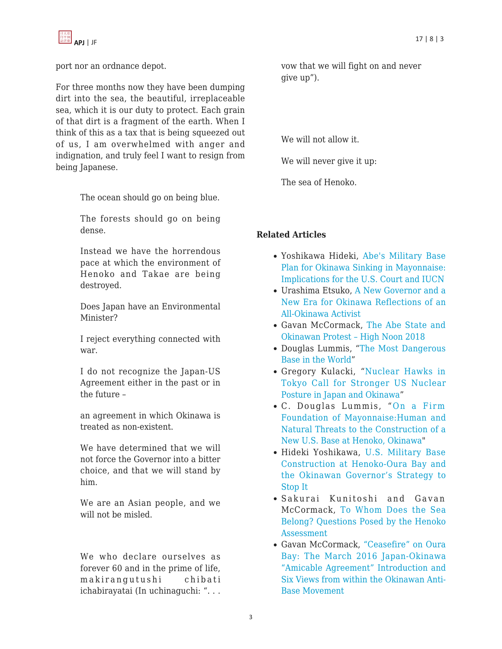

port nor an ordnance depot.

For three months now they have been dumping dirt into the sea, the beautiful, irreplaceable sea, which it is our duty to protect. Each grain of that dirt is a fragment of the earth. When I think of this as a tax that is being squeezed out of us, I am overwhelmed with anger and indignation, and truly feel I want to resign from being Japanese.

The ocean should go on being blue.

The forests should go on being dense.

Instead we have the horrendous pace at which the environment of Henoko and Takae are being destroyed.

Does Japan have an Environmental Minister?

I reject everything connected with war.

I do not recognize the Japan-US Agreement either in the past or in the future –

an agreement in which Okinawa is treated as non-existent.

We have determined that we will not force the Governor into a bitter choice, and that we will stand by him.

We are an Asian people, and we will not be misled.

We who declare ourselves as forever 60 and in the prime of life, makirangutushi chibati ichabirayatai (In uchinaguchi: ". . .

vow that we will fight on and never give up").

We will not allow it.

We will never give it up:

The sea of Henoko.

## **Related Articles**

- Yoshikawa Hideki, [Abe's Military Base](https://apjjf.org/2018/04/Yoshikawa.html) [Plan for Okinawa Sinking in Mayonnaise:](https://apjjf.org/2018/04/Yoshikawa.html) [Implications for the U.S. Court and IUCN](https://apjjf.org/2018/04/Yoshikawa.html)
- Urashima Etsuko, [A New Governor and a](https://apjjf.org/2016/23/Urashima.html) [New Era for Okinawa Reflections of an](https://apjjf.org/2016/23/Urashima.html) [All-Okinawa Activist](https://apjjf.org/2016/23/Urashima.html)
- Gavan McCormack, [The Abe State and](https://apjjf.org/2018/16/McCormack.html) [Okinawan Protest – High Noon 2018](https://apjjf.org/2018/16/McCormack.html)
- Douglas Lummis, "[The Most Dangerous](https://apjjf.org/2018/14/Lummis.html) [Base in the World"](https://apjjf.org/2018/14/Lummis.html)
- Gregory Kulacki, "[Nuclear Hawks in](https://apjjf.org/2018/11/Kulacki.html) [Tokyo Call for Stronger US Nuclear](https://apjjf.org/2018/11/Kulacki.html) [Posture in Japan and Okinawa"](https://apjjf.org/2018/11/Kulacki.html)
- C. Douglas Lummis, "[On a Firm](https://apjjf.org/2018/10/Lummis.html) [Foundation of Mayonnaise:Human and](https://apjjf.org/2018/10/Lummis.html) [Natural Threats to the Construction of a](https://apjjf.org/2018/10/Lummis.html) [New U.S. Base at Henoko, Okinawa"](https://apjjf.org/2018/10/Lummis.html)
- Hideki Yoshikawa, [U.S. Military Base](https://apjjf.org/2018/02/Yoshikawa.html) [Construction at Henoko-Oura Bay and](https://apjjf.org/2018/02/Yoshikawa.html) [the Okinawan Governor's Strategy to](https://apjjf.org/2018/02/Yoshikawa.html) [Stop It](https://apjjf.org/2018/02/Yoshikawa.html)
- Sakurai Kunitoshi and Gavan [McCormack, To Whom Does the Sea](https://apjjf.org/2015/13/29/Sakurai-Kunitoshi/4346.html) [Belong? Qu](https://apjjf.org/2015/13/29/Sakurai-Kunitoshi/4346.html)estions Posed by the Henoko **Assessment**
- [Gavan McCormack, "Ceasefire" on Oura](https://apjjf.org/2016/07/McCormack.html) [Bay: The March 2016 Japan-Okinawa](https://apjjf.org/2016/07/McCormack.html) ["Amicable Agreement" Introduction and](https://apjjf.org/2016/07/McCormack.html) [Six Views from w](https://apjjf.org/2016/07/McCormack.html)ithin the Okinawan Anti-Base Movement